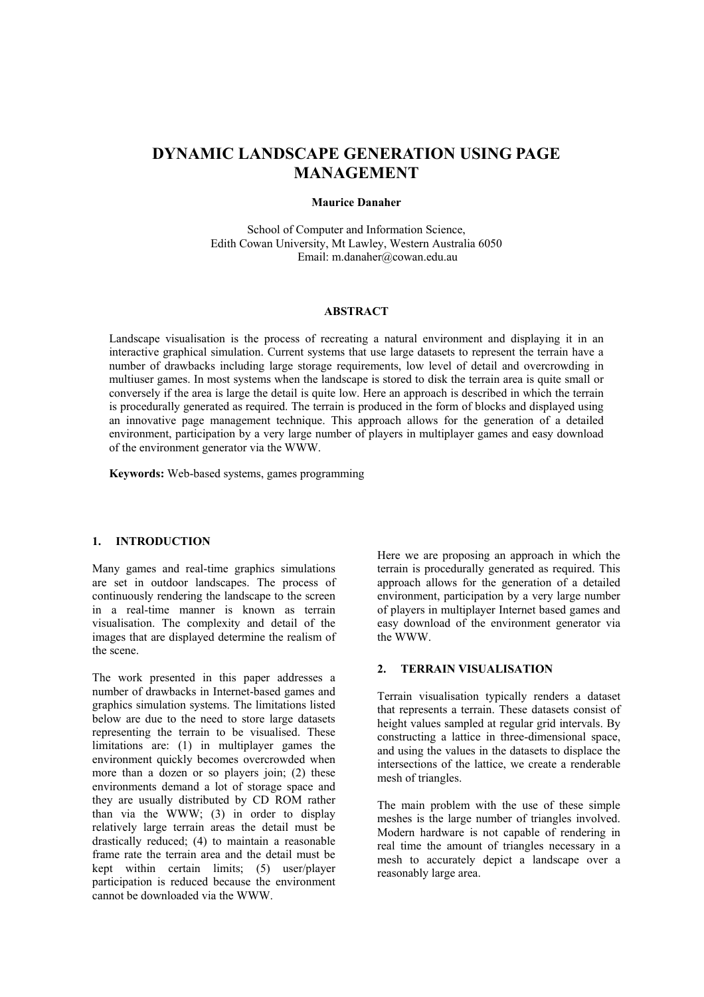# **DYNAMIC LANDSCAPE GENERATION USING PAGE MANAGEMENT**

#### **Maurice Danaher**

School of Computer and Information Science, Edith Cowan University, Mt Lawley, Western Australia 6050 Email: [m.danaher@cowan.edu.au](mailto:m.danaher@cowan.edu.au)

#### **ABSTRACT**

Landscape visualisation is the process of recreating a natural environment and displaying it in an interactive graphical simulation. Current systems that use large datasets to represent the terrain have a number of drawbacks including large storage requirements, low level of detail and overcrowding in multiuser games. In most systems when the landscape is stored to disk the terrain area is quite small or conversely if the area is large the detail is quite low. Here an approach is described in which the terrain is procedurally generated as required. The terrain is produced in the form of blocks and displayed using an innovative page management technique. This approach allows for the generation of a detailed environment, participation by a very large number of players in multiplayer games and easy download of the environment generator via the WWW.

**Keywords:** Web-based systems, games programming

#### **1. INTRODUCTION**

Many games and real-time graphics simulations are set in outdoor landscapes. The process of continuously rendering the landscape to the screen in a real-time manner is known as terrain visualisation. The complexity and detail of the images that are displayed determine the realism of the scene.

The work presented in this paper addresses a number of drawbacks in Internet-based games and graphics simulation systems. The limitations listed below are due to the need to store large datasets representing the terrain to be visualised. These limitations are: (1) in multiplayer games the environment quickly becomes overcrowded when more than a dozen or so players join; (2) these environments demand a lot of storage space and they are usually distributed by CD ROM rather than via the WWW; (3) in order to display relatively large terrain areas the detail must be drastically reduced; (4) to maintain a reasonable frame rate the terrain area and the detail must be kept within certain limits; (5) user/player participation is reduced because the environment cannot be downloaded via the WWW.

Here we are proposing an approach in which the terrain is procedurally generated as required. This approach allows for the generation of a detailed environment, participation by a very large number of players in multiplayer Internet based games and easy download of the environment generator via the WWW.

# **2. TERRAIN VISUALISATION**

Terrain visualisation typically renders a dataset that represents a terrain. These datasets consist of height values sampled at regular grid intervals. By constructing a lattice in three-dimensional space, and using the values in the datasets to displace the intersections of the lattice, we create a renderable mesh of triangles.

The main problem with the use of these simple meshes is the large number of triangles involved. Modern hardware is not capable of rendering in real time the amount of triangles necessary in a mesh to accurately depict a landscape over a reasonably large area.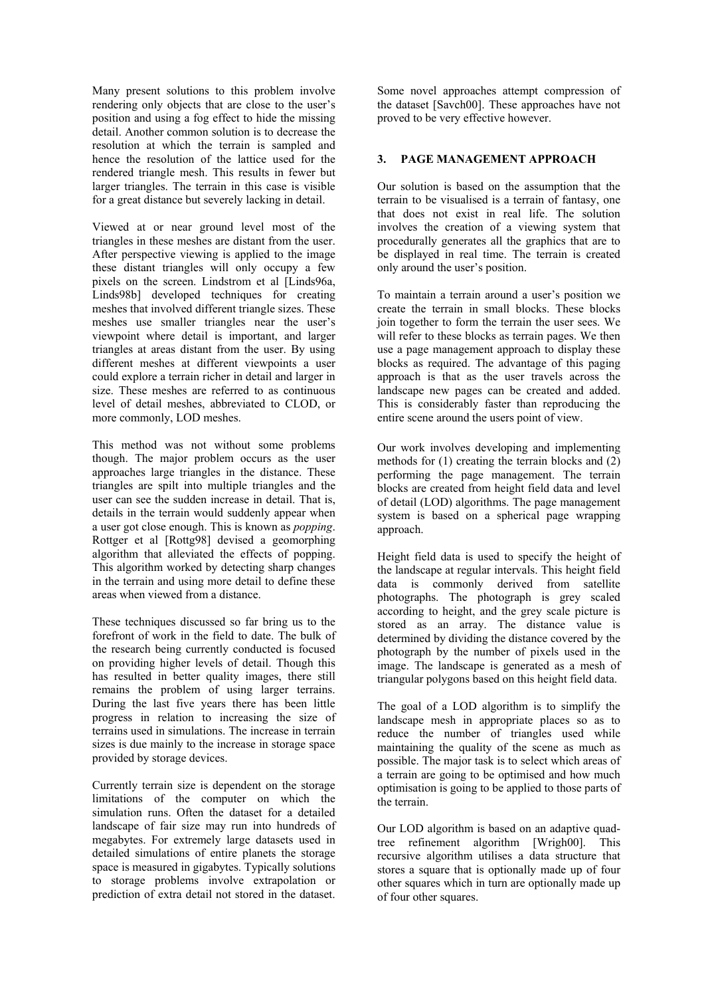Many present solutions to this problem involve rendering only objects that are close to the user's position and using a fog effect to hide the missing detail. Another common solution is to decrease the resolution at which the terrain is sampled and hence the resolution of the lattice used for the rendered triangle mesh. This results in fewer but larger triangles. The terrain in this case is visible for a great distance but severely lacking in detail.

Viewed at or near ground level most of the triangles in these meshes are distant from the user. After perspective viewing is applied to the image these distant triangles will only occupy a few pixels on the screen. Lindstrom et al [Linds96a, Linds98b] developed techniques for creating meshes that involved different triangle sizes. These meshes use smaller triangles near the user's viewpoint where detail is important, and larger triangles at areas distant from the user. By using different meshes at different viewpoints a user could explore a terrain richer in detail and larger in size. These meshes are referred to as continuous level of detail meshes, abbreviated to CLOD, or more commonly, LOD meshes.

This method was not without some problems though. The major problem occurs as the user approaches large triangles in the distance. These triangles are spilt into multiple triangles and the user can see the sudden increase in detail. That is, details in the terrain would suddenly appear when a user got close enough. This is known as *popping*. Rottger et al [Rottg98] devised a geomorphing algorithm that alleviated the effects of popping. This algorithm worked by detecting sharp changes in the terrain and using more detail to define these areas when viewed from a distance.

These techniques discussed so far bring us to the forefront of work in the field to date. The bulk of the research being currently conducted is focused on providing higher levels of detail. Though this has resulted in better quality images, there still remains the problem of using larger terrains. During the last five years there has been little progress in relation to increasing the size of terrains used in simulations. The increase in terrain sizes is due mainly to the increase in storage space provided by storage devices.

Currently terrain size is dependent on the storage limitations of the computer on which the simulation runs. Often the dataset for a detailed landscape of fair size may run into hundreds of megabytes. For extremely large datasets used in detailed simulations of entire planets the storage space is measured in gigabytes. Typically solutions to storage problems involve extrapolation or prediction of extra detail not stored in the dataset.

Some novel approaches attempt compression of the dataset [Savch00]. These approaches have not proved to be very effective however.

# **3. PAGE MANAGEMENT APPROACH**

Our solution is based on the assumption that the terrain to be visualised is a terrain of fantasy, one that does not exist in real life. The solution involves the creation of a viewing system that procedurally generates all the graphics that are to be displayed in real time. The terrain is created only around the user's position.

To maintain a terrain around a user's position we create the terrain in small blocks. These blocks join together to form the terrain the user sees. We will refer to these blocks as terrain pages. We then use a page management approach to display these blocks as required. The advantage of this paging approach is that as the user travels across the landscape new pages can be created and added. This is considerably faster than reproducing the entire scene around the users point of view.

Our work involves developing and implementing methods for (1) creating the terrain blocks and (2) performing the page management. The terrain blocks are created from height field data and level of detail (LOD) algorithms. The page management system is based on a spherical page wrapping approach.

Height field data is used to specify the height of the landscape at regular intervals. This height field data is commonly derived from satellite photographs. The photograph is grey scaled according to height, and the grey scale picture is stored as an array. The distance value is determined by dividing the distance covered by the photograph by the number of pixels used in the image. The landscape is generated as a mesh of triangular polygons based on this height field data.

The goal of a LOD algorithm is to simplify the landscape mesh in appropriate places so as to reduce the number of triangles used while maintaining the quality of the scene as much as possible. The major task is to select which areas of a terrain are going to be optimised and how much optimisation is going to be applied to those parts of the terrain.

Our LOD algorithm is based on an adaptive quadtree refinement algorithm [Wrigh00]. This recursive algorithm utilises a data structure that stores a square that is optionally made up of four other squares which in turn are optionally made up of four other squares.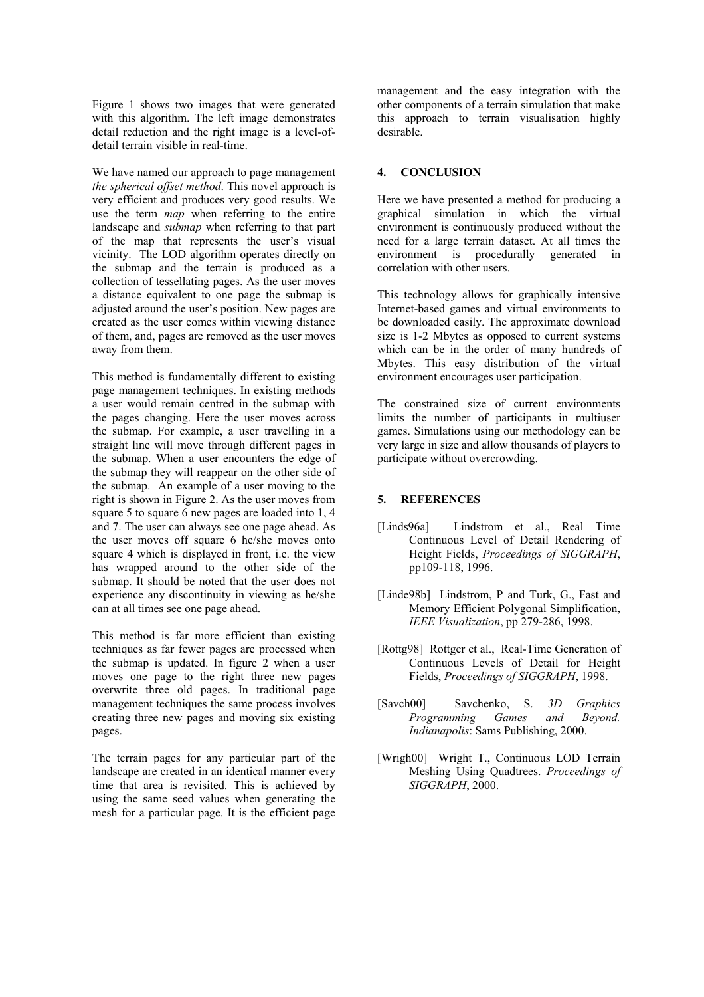Figure 1 shows two images that were generated with this algorithm. The left image demonstrates detail reduction and the right image is a level-ofdetail terrain visible in real-time.

We have named our approach to page management *the spherical offset method*. This novel approach is very efficient and produces very good results. We use the term *map* when referring to the entire landscape and *submap* when referring to that part of the map that represents the user's visual vicinity. The LOD algorithm operates directly on the submap and the terrain is produced as a collection of tessellating pages. As the user moves a distance equivalent to one page the submap is adjusted around the user's position. New pages are created as the user comes within viewing distance of them, and, pages are removed as the user moves away from them.

This method is fundamentally different to existing page management techniques. In existing methods a user would remain centred in the submap with the pages changing. Here the user moves across the submap. For example, a user travelling in a straight line will move through different pages in the submap. When a user encounters the edge of the submap they will reappear on the other side of the submap. An example of a user moving to the right is shown in Figure 2. As the user moves from square 5 to square 6 new pages are loaded into 1, 4 and 7. The user can always see one page ahead. As the user moves off square 6 he/she moves onto square 4 which is displayed in front, i.e. the view has wrapped around to the other side of the submap. It should be noted that the user does not experience any discontinuity in viewing as he/she can at all times see one page ahead.

This method is far more efficient than existing techniques as far fewer pages are processed when the submap is updated. In figure 2 when a user moves one page to the right three new pages overwrite three old pages. In traditional page management techniques the same process involves creating three new pages and moving six existing pages.

The terrain pages for any particular part of the landscape are created in an identical manner every time that area is revisited. This is achieved by using the same seed values when generating the mesh for a particular page. It is the efficient page management and the easy integration with the other components of a terrain simulation that make this approach to terrain visualisation highly desirable.

### **4. CONCLUSION**

Here we have presented a method for producing a graphical simulation in which the virtual environment is continuously produced without the need for a large terrain dataset. At all times the environment is procedurally generated in correlation with other users.

This technology allows for graphically intensive Internet-based games and virtual environments to be downloaded easily. The approximate download size is 1-2 Mbytes as opposed to current systems which can be in the order of many hundreds of Mbytes. This easy distribution of the virtual environment encourages user participation.

The constrained size of current environments limits the number of participants in multiuser games. Simulations using our methodology can be very large in size and allow thousands of players to participate without overcrowding.

# **5. REFERENCES**

- [Linds96a] Lindstrom et al., Real Time Continuous Level of Detail Rendering of Height Fields, *Proceedings of SIGGRAPH*, pp109-118, 1996.
- [Linde98b] Lindstrom, P and Turk, G., Fast and Memory Efficient Polygonal Simplification, *IEEE Visualization*, pp 279-286, 1998.
- [Rottg98] Rottger et al., Real-Time Generation of Continuous Levels of Detail for Height Fields, *Proceedings of SIGGRAPH*, 1998.
- [Savch00] Savchenko, S. *3D Graphics Programming Games and Beyond. Indianapolis*: Sams Publishing, 2000.
- [Wrigh00] Wright T., Continuous LOD Terrain Meshing Using Quadtrees. *Proceedings of SIGGRAPH*, 2000.